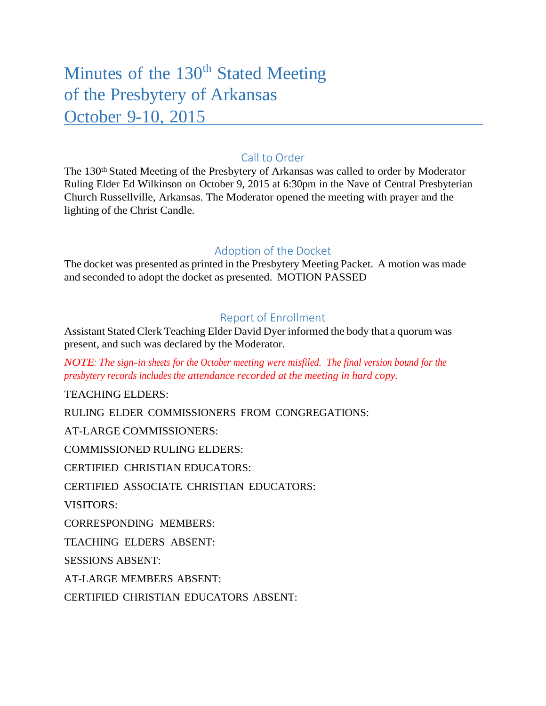# Minutes of the 130<sup>th</sup> Stated Meeting of the Presbytery of Arkansas October 9-10, 2015

# Call to Order

The 130<sup>th</sup> Stated Meeting of the Presbytery of Arkansas was called to order by Moderator Ruling Elder Ed Wilkinson on October 9, 2015 at 6:30pm in the Nave of Central Presbyterian Church Russellville, Arkansas. The Moderator opened the meeting with prayer and the lighting of the Christ Candle.

# Adoption of the Docket

The docket was presented as printed in the Presbytery Meeting Packet. A motion was made and seconded to adopt the docket as presented. MOTION PASSED

# Report of Enrollment

Assistant Stated Clerk Teaching Elder David Dyer informed the body that a quorum was present, and such was declared by the Moderator.

*NOTE: The sign-in sheets for the October meeting were misfiled. The final version bound for the presbytery records includes the attendance recorded at the meeting in hard copy.*

TEACHING ELDERS:

RULING ELDER COMMISSIONERS FROM CONGREGATIONS:

AT-LARGE COMMISSIONERS:

COMMISSIONED RULING ELDERS:

CERTIFIED CHRISTIAN EDUCATORS:

CERTIFIED ASSOCIATE CHRISTIAN EDUCATORS:

VISITORS:

CORRESPONDING MEMBERS:

TEACHING ELDERS ABSENT:

SESSIONS ABSENT:

AT-LARGE MEMBERS ABSENT:

CERTIFIED CHRISTIAN EDUCATORS ABSENT: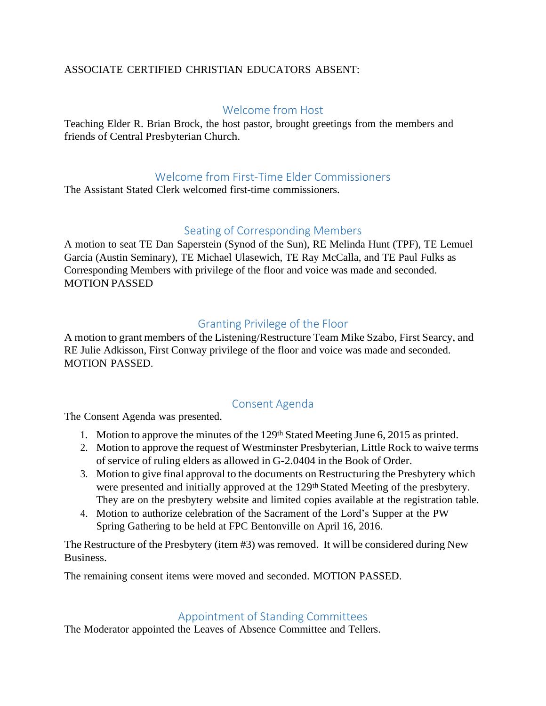## ASSOCIATE CERTIFIED CHRISTIAN EDUCATORS ABSENT:

# Welcome from Host

Teaching Elder R. Brian Brock, the host pastor, brought greetings from the members and friends of Central Presbyterian Church.

## Welcome from First-Time Elder Commissioners

The Assistant Stated Clerk welcomed first-time commissioners.

# Seating of Corresponding Members

A motion to seat TE Dan Saperstein (Synod of the Sun), RE Melinda Hunt (TPF), TE Lemuel Garcia (Austin Seminary), TE Michael Ulasewich, TE Ray McCalla, and TE Paul Fulks as Corresponding Members with privilege of the floor and voice was made and seconded. MOTION PASSED

# Granting Privilege of the Floor

A motion to grant members of the Listening/Restructure Team Mike Szabo, First Searcy, and RE Julie Adkisson, First Conway privilege of the floor and voice was made and seconded. MOTION PASSED.

# Consent Agenda

The Consent Agenda was presented.

- 1. Motion to approve the minutes of the 129<sup>th</sup> Stated Meeting June 6, 2015 as printed.
- 2. Motion to approve the request of Westminster Presbyterian, Little Rock to waive terms of service of ruling elders as allowed in G-2.0404 in the Book of Order.
- 3. Motion to give final approval to the documents on Restructuring the Presbytery which were presented and initially approved at the 129<sup>th</sup> Stated Meeting of the presbytery. They are on the presbytery website and limited copies available at the registration table.
- 4. Motion to authorize celebration of the Sacrament of the Lord's Supper at the PW Spring Gathering to be held at FPC Bentonville on April 16, 2016.

The Restructure of the Presbytery (item #3) was removed. It will be considered during New Business.

The remaining consent items were moved and seconded. MOTION PASSED.

# Appointment of Standing Committees

The Moderator appointed the Leaves of Absence Committee and Tellers.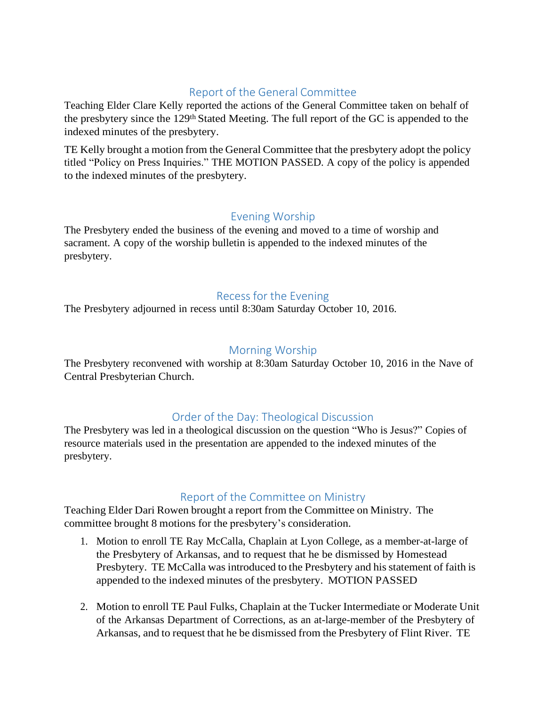# Report of the General Committee

Teaching Elder Clare Kelly reported the actions of the General Committee taken on behalf of the presbytery since the 129th Stated Meeting. The full report of the GC is appended to the indexed minutes of the presbytery.

TE Kelly brought a motion from the General Committee that the presbytery adopt the policy titled "Policy on Press Inquiries." THE MOTION PASSED. A copy of the policy is appended to the indexed minutes of the presbytery.

# Evening Worship

The Presbytery ended the business of the evening and moved to a time of worship and sacrament. A copy of the worship bulletin is appended to the indexed minutes of the presbytery.

# Recess for the Evening

The Presbytery adjourned in recess until 8:30am Saturday October 10, 2016.

# Morning Worship

The Presbytery reconvened with worship at 8:30am Saturday October 10, 2016 in the Nave of Central Presbyterian Church.

# Order of the Day: Theological Discussion

The Presbytery was led in a theological discussion on the question "Who is Jesus?" Copies of resource materials used in the presentation are appended to the indexed minutes of the presbytery.

# Report of the Committee on Ministry

Teaching Elder Dari Rowen brought a report from the Committee on Ministry. The committee brought 8 motions for the presbytery's consideration.

- 1. Motion to enroll TE Ray McCalla, Chaplain at Lyon College, as a member-at-large of the Presbytery of Arkansas, and to request that he be dismissed by Homestead Presbytery. TE McCalla was introduced to the Presbytery and his statement of faith is appended to the indexed minutes of the presbytery. MOTION PASSED
- 2. Motion to enroll TE Paul Fulks, Chaplain at the Tucker Intermediate or Moderate Unit of the Arkansas Department of Corrections, as an at-large-member of the Presbytery of Arkansas, and to request that he be dismissed from the Presbytery of Flint River. TE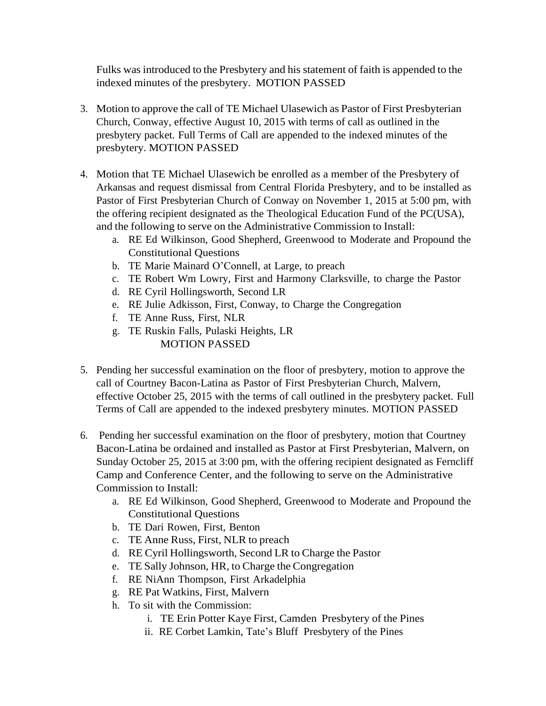Fulks was introduced to the Presbytery and his statement of faith is appended to the indexed minutes of the presbytery. MOTION PASSED

- 3. Motion to approve the call of TE Michael Ulasewich as Pastor of First Presbyterian Church, Conway, effective August 10, 2015 with terms of call as outlined in the presbytery packet. Full Terms of Call are appended to the indexed minutes of the presbytery. MOTION PASSED
- 4. Motion that TE Michael Ulasewich be enrolled as a member of the Presbytery of Arkansas and request dismissal from Central Florida Presbytery, and to be installed as Pastor of First Presbyterian Church of Conway on November 1, 2015 at 5:00 pm, with the offering recipient designated as the Theological Education Fund of the PC(USA), and the following to serve on the Administrative Commission to Install:
	- a. RE Ed Wilkinson, Good Shepherd, Greenwood to Moderate and Propound the Constitutional Questions
	- b. TE Marie Mainard O'Connell, at Large, to preach
	- c. TE Robert Wm Lowry, First and Harmony Clarksville, to charge the Pastor
	- d. RE Cyril Hollingsworth, Second LR
	- e. RE Julie Adkisson, First, Conway, to Charge the Congregation
	- f. TE Anne Russ, First, NLR
	- g. TE Ruskin Falls, Pulaski Heights, LR MOTION PASSED
- 5. Pending her successful examination on the floor of presbytery, motion to approve the call of Courtney Bacon-Latina as Pastor of First Presbyterian Church, Malvern, effective October 25, 2015 with the terms of call outlined in the presbytery packet. Full Terms of Call are appended to the indexed presbytery minutes. MOTION PASSED
- 6. Pending her successful examination on the floor of presbytery, motion that Courtney Bacon-Latina be ordained and installed as Pastor at First Presbyterian, Malvern, on Sunday October 25, 2015 at 3:00 pm, with the offering recipient designated as Ferncliff Camp and Conference Center, and the following to serve on the Administrative Commission to Install:
	- a. RE Ed Wilkinson, Good Shepherd, Greenwood to Moderate and Propound the Constitutional Questions
	- b. TE Dari Rowen, First, Benton
	- c. TE Anne Russ, First, NLR to preach
	- d. RE Cyril Hollingsworth, Second LR to Charge the Pastor
	- e. TE Sally Johnson, HR, to Charge the Congregation
	- f. RE NiAnn Thompson, First Arkadelphia
	- g. RE Pat Watkins, First, Malvern
	- h. To sit with the Commission:
		- i. TE Erin Potter Kaye First, Camden Presbytery of the Pines
		- ii. RE Corbet Lamkin, Tate's Bluff Presbytery of the Pines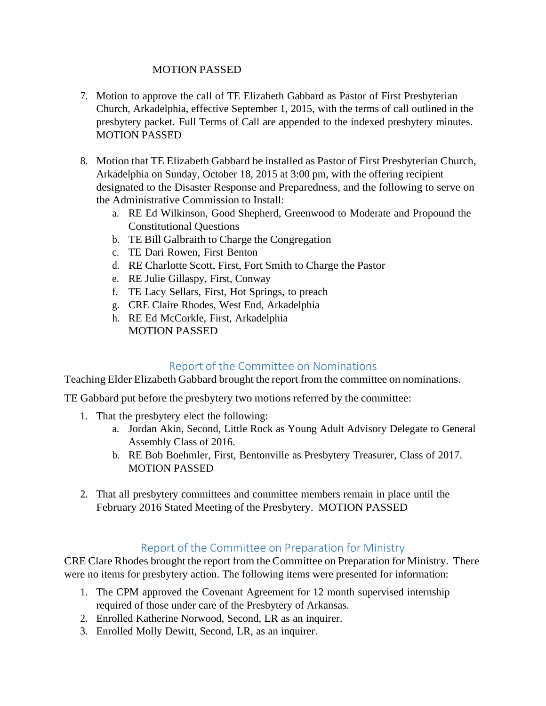#### MOTION PASSED

- 7. Motion to approve the call of TE Elizabeth Gabbard as Pastor of First Presbyterian Church, Arkadelphia, effective September 1, 2015, with the terms of call outlined in the presbytery packet. Full Terms of Call are appended to the indexed presbytery minutes. MOTION PASSED
- 8. Motion that TE Elizabeth Gabbard be installed as Pastor of First Presbyterian Church, Arkadelphia on Sunday, October 18, 2015 at 3:00 pm, with the offering recipient designated to the Disaster Response and Preparedness, and the following to serve on the Administrative Commission to Install:
	- a. RE Ed Wilkinson, Good Shepherd, Greenwood to Moderate and Propound the Constitutional Questions
	- b. TE Bill Galbraith to Charge the Congregation
	- c. TE Dari Rowen, First Benton
	- d. RE Charlotte Scott, First, Fort Smith to Charge the Pastor
	- e. RE Julie Gillaspy, First, Conway
	- f. TE Lacy Sellars, First, Hot Springs, to preach
	- g. CRE Claire Rhodes, West End, Arkadelphia
	- h. RE Ed McCorkle, First, Arkadelphia MOTION PASSED

# Report of the Committee on Nominations

Teaching Elder Elizabeth Gabbard brought the report from the committee on nominations.

TE Gabbard put before the presbytery two motions referred by the committee:

- 1. That the presbytery elect the following:
	- a. Jordan Akin, Second, Little Rock as Young Adult Advisory Delegate to General Assembly Class of 2016.
	- b. RE Bob Boehmler, First, Bentonville as Presbytery Treasurer, Class of 2017. MOTION PASSED
- 2. That all presbytery committees and committee members remain in place until the February 2016 Stated Meeting of the Presbytery. MOTION PASSED

# Report of the Committee on Preparation for Ministry

CRE Clare Rhodes brought the report from the Committee on Preparation for Ministry. There were no items for presbytery action. The following items were presented for information:

- 1. The CPM approved the Covenant Agreement for 12 month supervised internship required of those under care of the Presbytery of Arkansas.
- 2. Enrolled Katherine Norwood, Second, LR as an inquirer.
- 3. Enrolled Molly Dewitt, Second, LR, as an inquirer.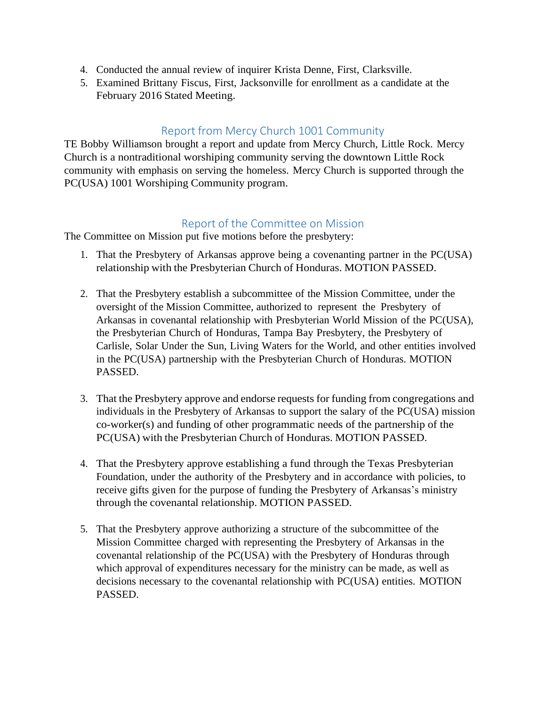- 4. Conducted the annual review of inquirer Krista Denne, First, Clarksville.
- 5. Examined Brittany Fiscus, First, Jacksonville for enrollment as a candidate at the February 2016 Stated Meeting.

# Report from Mercy Church 1001 Community

TE Bobby Williamson brought a report and update from Mercy Church, Little Rock. Mercy Church is a nontraditional worshiping community serving the downtown Little Rock community with emphasis on serving the homeless. Mercy Church is supported through the PC(USA) 1001 Worshiping Community program.

## Report of the Committee on Mission

The Committee on Mission put five motions before the presbytery:

- 1. That the Presbytery of Arkansas approve being a covenanting partner in the PC(USA) relationship with the Presbyterian Church of Honduras. MOTION PASSED.
- 2. That the Presbytery establish a subcommittee of the Mission Committee, under the oversight of the Mission Committee, authorized to represent the Presbytery of Arkansas in covenantal relationship with Presbyterian World Mission of the PC(USA), the Presbyterian Church of Honduras, Tampa Bay Presbytery, the Presbytery of Carlisle, Solar Under the Sun, Living Waters for the World, and other entities involved in the PC(USA) partnership with the Presbyterian Church of Honduras. MOTION PASSED.
- 3. That the Presbytery approve and endorse requests for funding from congregations and individuals in the Presbytery of Arkansas to support the salary of the PC(USA) mission co-worker(s) and funding of other programmatic needs of the partnership of the PC(USA) with the Presbyterian Church of Honduras. MOTION PASSED.
- 4. That the Presbytery approve establishing a fund through the Texas Presbyterian Foundation, under the authority of the Presbytery and in accordance with policies, to receive gifts given for the purpose of funding the Presbytery of Arkansas's ministry through the covenantal relationship. MOTION PASSED.
- 5. That the Presbytery approve authorizing a structure of the subcommittee of the Mission Committee charged with representing the Presbytery of Arkansas in the covenantal relationship of the PC(USA) with the Presbytery of Honduras through which approval of expenditures necessary for the ministry can be made, as well as decisions necessary to the covenantal relationship with PC(USA) entities. MOTION PASSED.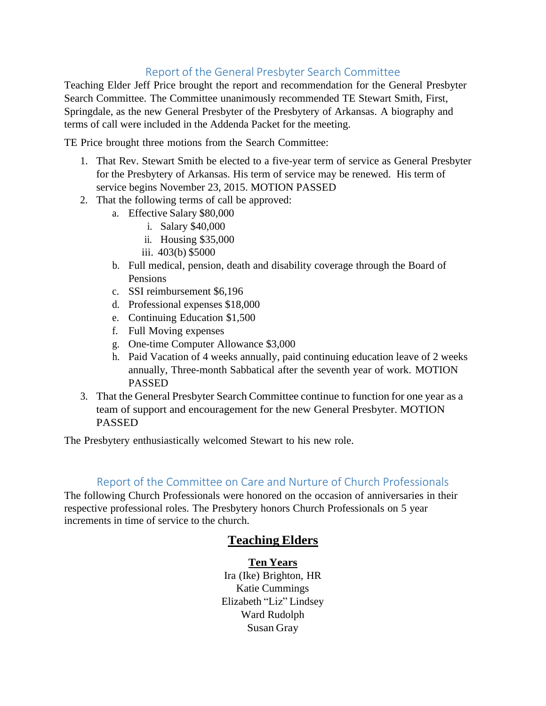# Report of the General Presbyter Search Committee

Teaching Elder Jeff Price brought the report and recommendation for the General Presbyter Search Committee. The Committee unanimously recommended TE Stewart Smith, First, Springdale, as the new General Presbyter of the Presbytery of Arkansas. A biography and terms of call were included in the Addenda Packet for the meeting.

TE Price brought three motions from the Search Committee:

- 1. That Rev. Stewart Smith be elected to a five-year term of service as General Presbyter for the Presbytery of Arkansas. His term of service may be renewed. His term of service begins November 23, 2015. MOTION PASSED
- 2. That the following terms of call be approved:
	- a. Effective Salary \$80,000
		- i. Salary \$40,000
		- ii. Housing \$35,000
		- iii. 403(b) \$5000
	- b. Full medical, pension, death and disability coverage through the Board of Pensions
	- c. SSI reimbursement \$6,196
	- d. Professional expenses \$18,000
	- e. Continuing Education \$1,500
	- f. Full Moving expenses
	- g. One-time Computer Allowance \$3,000
	- h. Paid Vacation of 4 weeks annually, paid continuing education leave of 2 weeks annually, Three-month Sabbatical after the seventh year of work. MOTION PASSED
- 3. That the General Presbyter Search Committee continue to function for one year as a team of support and encouragement for the new General Presbyter. MOTION PASSED

The Presbytery enthusiastically welcomed Stewart to his new role.

# Report of the Committee on Care and Nurture of Church Professionals

The following Church Professionals were honored on the occasion of anniversaries in their respective professional roles. The Presbytery honors Church Professionals on 5 year increments in time of service to the church.

# **Teaching Elders**

#### **Ten Years**

Ira (Ike) Brighton, HR Katie Cummings Elizabeth "Liz" Lindsey Ward Rudolph Susan Gray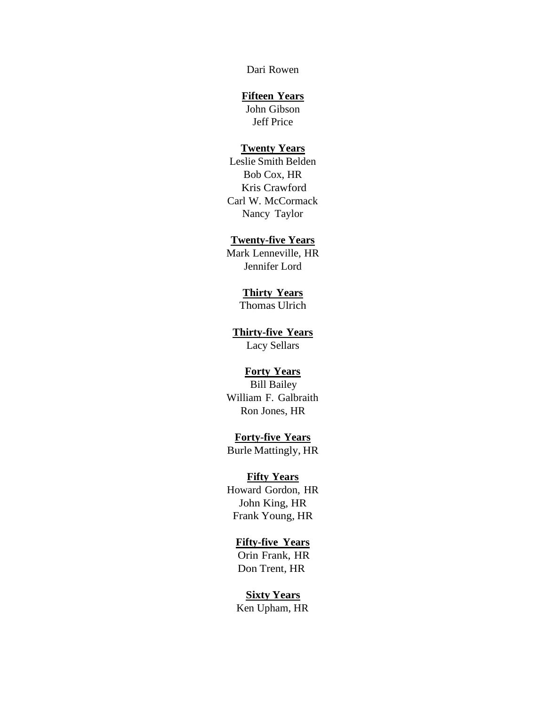Dari Rowen

#### **Fifteen Years**

John Gibson Jeff Price

#### **Twenty Years**

Leslie Smith Belden Bob Cox, HR Kris Crawford Carl W. McCormack Nancy Taylor

#### **Twenty-five Years**

Mark Lenneville, HR Jennifer Lord

#### **Thirty Years**

Thomas Ulrich

#### **Thirty-five Years**

Lacy Sellars

#### **Forty Years**

Bill Bailey William F. Galbraith Ron Jones, HR

#### **Forty-five Years**

Burle Mattingly, HR

#### **Fifty Years**

Howard Gordon, HR John King, HR Frank Young, HR

#### **Fifty-five Years**

Orin Frank, HR Don Trent, HR

#### **Sixty Years**

Ken Upham, HR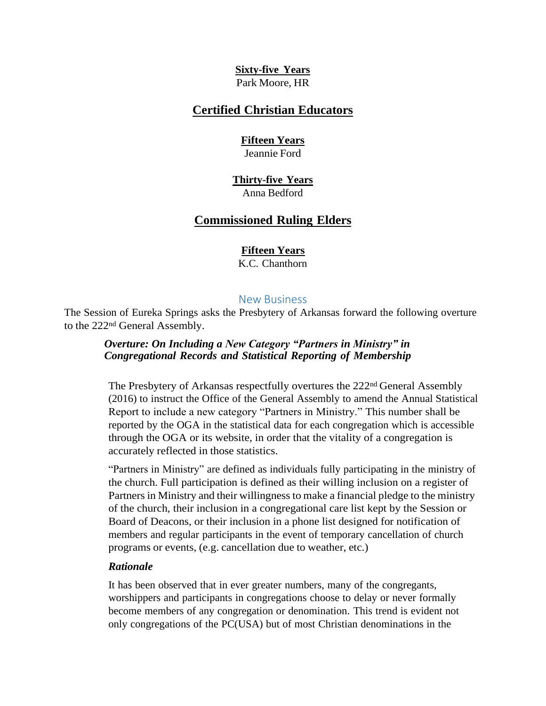#### **Sixty-five Years** Park Moore, HR

## **Certified Christian Educators**

#### **Fifteen Years**

Jeannie Ford

#### **Thirty-five Years** Anna Bedford

## **Commissioned Ruling Elders**

#### **Fifteen Years**

K.C. Chanthorn

#### New Business

The Session of Eureka Springs asks the Presbytery of Arkansas forward the following overture to the 222nd General Assembly.

#### *Overture: On Including a New Category "Partners in Ministry" in Congregational Records and Statistical Reporting of Membership*

The Presbytery of Arkansas respectfully overtures the  $222<sup>nd</sup>$  General Assembly (2016) to instruct the Office of the General Assembly to amend the Annual Statistical Report to include a new category "Partners in Ministry." This number shall be reported by the OGA in the statistical data for each congregation which is accessible through the OGA or its website, in order that the vitality of a congregation is accurately reflected in those statistics.

"Partners in Ministry" are defined as individuals fully participating in the ministry of the church. Full participation is defined as their willing inclusion on a register of Partners in Ministry and their willingness to make a financial pledge to the ministry of the church, their inclusion in a congregational care list kept by the Session or Board of Deacons, or their inclusion in a phone list designed for notification of members and regular participants in the event of temporary cancellation of church programs or events, (e.g. cancellation due to weather, etc.)

#### *Rationale*

It has been observed that in ever greater numbers, many of the congregants, worshippers and participants in congregations choose to delay or never formally become members of any congregation or denomination. This trend is evident not only congregations of the PC(USA) but of most Christian denominations in the